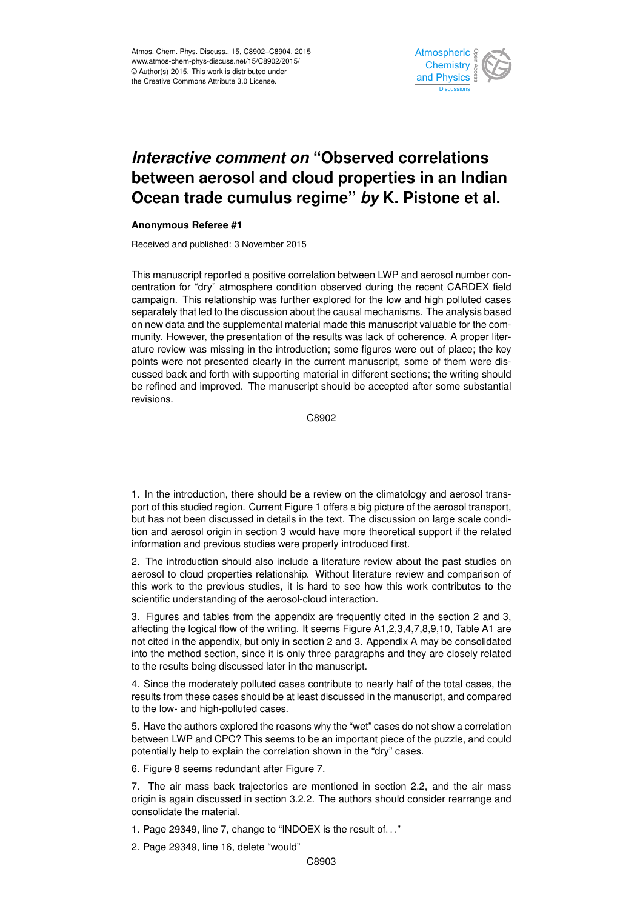

## *Interactive comment on* **"Observed correlations between aerosol and cloud properties in an Indian Ocean trade cumulus regime"** *by* **K. Pistone et al.**

## **Anonymous Referee #1**

Received and published: 3 November 2015

This manuscript reported a positive correlation between LWP and aerosol number concentration for "dry" atmosphere condition observed during the recent CARDEX field campaign. This relationship was further explored for the low and high polluted cases separately that led to the discussion about the causal mechanisms. The analysis based on new data and the supplemental material made this manuscript valuable for the community. However, the presentation of the results was lack of coherence. A proper literature review was missing in the introduction; some figures were out of place; the key points were not presented clearly in the current manuscript, some of them were discussed back and forth with supporting material in different sections; the writing should be refined and improved. The manuscript should be accepted after some substantial revisions.

C8902

1. In the introduction, there should be a review on the climatology and aerosol transport of this studied region. Current Figure 1 offers a big picture of the aerosol transport, but has not been discussed in details in the text. The discussion on large scale condition and aerosol origin in section 3 would have more theoretical support if the related information and previous studies were properly introduced first.

2. The introduction should also include a literature review about the past studies on aerosol to cloud properties relationship. Without literature review and comparison of this work to the previous studies, it is hard to see how this work contributes to the scientific understanding of the aerosol-cloud interaction.

3. Figures and tables from the appendix are frequently cited in the section 2 and 3, affecting the logical flow of the writing. It seems Figure A1,2,3,4,7,8,9,10, Table A1 are not cited in the appendix, but only in section 2 and 3. Appendix A may be consolidated into the method section, since it is only three paragraphs and they are closely related to the results being discussed later in the manuscript.

4. Since the moderately polluted cases contribute to nearly half of the total cases, the results from these cases should be at least discussed in the manuscript, and compared to the low- and high-polluted cases.

5. Have the authors explored the reasons why the "wet" cases do not show a correlation between LWP and CPC? This seems to be an important piece of the puzzle, and could potentially help to explain the correlation shown in the "dry" cases.

6. Figure 8 seems redundant after Figure 7.

7. The air mass back trajectories are mentioned in section 2.2, and the air mass origin is again discussed in section 3.2.2. The authors should consider rearrange and consolidate the material.

1. Page 29349, line 7, change to "INDOEX is the result of. . ."

2. Page 29349, line 16, delete "would"